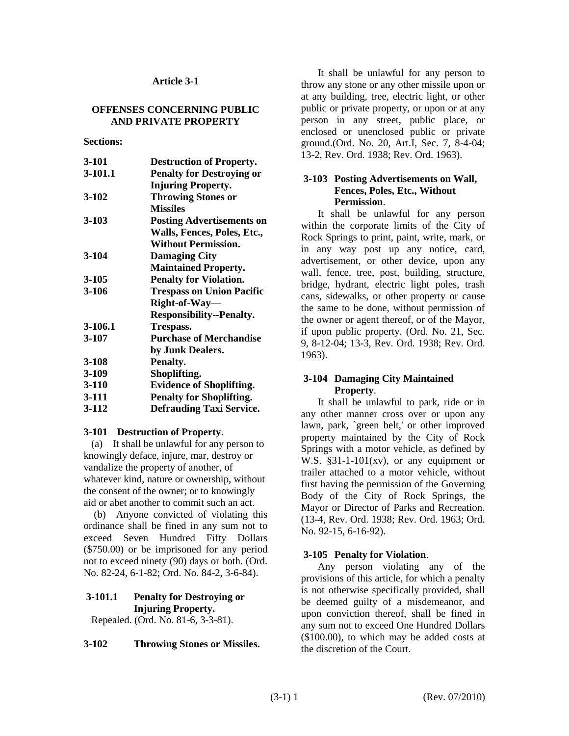### **Article 3-1**

### **OFFENSES CONCERNING PUBLIC AND PRIVATE PROPERTY**

#### **Sections:**

| 3-101     | <b>Destruction of Property.</b>  |
|-----------|----------------------------------|
| 3-101.1   | <b>Penalty for Destroying or</b> |
|           | <b>Injuring Property.</b>        |
| $3 - 102$ | <b>Throwing Stones or</b>        |
|           | <b>Missiles</b>                  |
| $3 - 103$ | <b>Posting Advertisements on</b> |
|           | Walls, Fences, Poles, Etc.,      |
|           | <b>Without Permission.</b>       |
| 3-104     | <b>Damaging City</b>             |
|           | <b>Maintained Property.</b>      |
| 3-105     | <b>Penalty for Violation.</b>    |
| 3-106     | <b>Trespass on Union Pacific</b> |
|           | Right-of-Way-                    |
|           | <b>Responsibility--Penalty.</b>  |
| 3-106.1   | Trespass.                        |
| 3-107     | <b>Purchase of Merchandise</b>   |
|           | by Junk Dealers.                 |
| $3 - 108$ | Penalty.                         |
| 3-109     | Shoplifting.                     |
| 3-110     | <b>Evidence of Shoplifting.</b>  |
| 3-111     | <b>Penalty for Shoplifting.</b>  |
| 3-112     | <b>Defrauding Taxi Service.</b>  |
|           |                                  |

#### **3-101 Destruction of Property**.

 (a) It shall be unlawful for any person to knowingly deface, injure, mar, destroy or vandalize the property of another, of whatever kind, nature or ownership, without the consent of the owner; or to knowingly aid or abet another to commit such an act.

 (b) Anyone convicted of violating this ordinance shall be fined in any sum not to exceed Seven Hundred Fifty Dollars (\$750.00) or be imprisoned for any period not to exceed ninety (90) days or both. (Ord. No. 82-24, 6-1-82; Ord. No. 84-2, 3-6-84).

# **3-101.1 Penalty for Destroying or Injuring Property.**

Repealed. (Ord. No. 81-6, 3-3-81).

### **3-102 Throwing Stones or Missiles.**

It shall be unlawful for any person to throw any stone or any other missile upon or at any building, tree, electric light, or other public or private property, or upon or at any person in any street, public place, or enclosed or unenclosed public or private ground.(Ord. No. 20, Art.I, Sec. 7, 8-4-04; 13-2, Rev. Ord. 1938; Rev. Ord. 1963).

### **3-103 Posting Advertisements on Wall, Fences, Poles, Etc., Without Permission**.

It shall be unlawful for any person within the corporate limits of the City of Rock Springs to print, paint, write, mark, or in any way post up any notice, card, advertisement, or other device, upon any wall, fence, tree, post, building, structure, bridge, hydrant, electric light poles, trash cans, sidewalks, or other property or cause the same to be done, without permission of the owner or agent thereof, or of the Mayor, if upon public property. (Ord. No. 21, Sec. 9, 8-12-04; 13-3, Rev. Ord. 1938; Rev. Ord. 1963).

## **3-104 Damaging City Maintained Property**.

It shall be unlawful to park, ride or in any other manner cross over or upon any lawn, park, `green belt,' or other improved property maintained by the City of Rock Springs with a motor vehicle, as defined by W.S.  $§31-1-101(xv)$ , or any equipment or trailer attached to a motor vehicle, without first having the permission of the Governing Body of the City of Rock Springs, the Mayor or Director of Parks and Recreation. (13-4, Rev. Ord. 1938; Rev. Ord. 1963; Ord. No. 92-15, 6-16-92).

## **3-105 Penalty for Violation**.

Any person violating any of the provisions of this article, for which a penalty is not otherwise specifically provided, shall be deemed guilty of a misdemeanor, and upon conviction thereof, shall be fined in any sum not to exceed One Hundred Dollars (\$100.00), to which may be added costs at the discretion of the Court.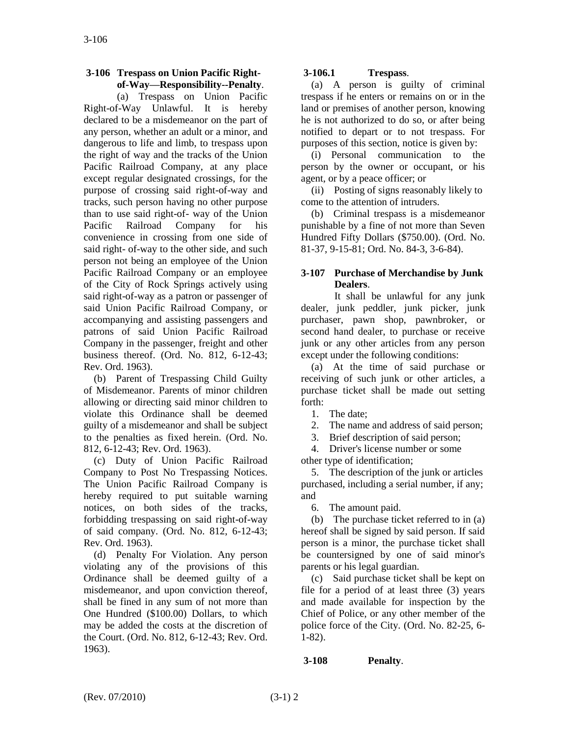## **3-106 Trespass on Union Pacific Rightof-Way—Responsibility--Penalty**.

(a) Trespass on Union Pacific Right-of-Way Unlawful. It is hereby declared to be a misdemeanor on the part of any person, whether an adult or a minor, and dangerous to life and limb, to trespass upon the right of way and the tracks of the Union Pacific Railroad Company, at any place except regular designated crossings, for the purpose of crossing said right-of-way and tracks, such person having no other purpose than to use said right-of- way of the Union Pacific Railroad Company for his convenience in crossing from one side of said right- of-way to the other side, and such person not being an employee of the Union Pacific Railroad Company or an employee of the City of Rock Springs actively using said right-of-way as a patron or passenger of said Union Pacific Railroad Company, or accompanying and assisting passengers and patrons of said Union Pacific Railroad Company in the passenger, freight and other business thereof. (Ord. No. 812, 6-12-43; Rev. Ord. 1963).

 (b) Parent of Trespassing Child Guilty of Misdemeanor. Parents of minor children allowing or directing said minor children to violate this Ordinance shall be deemed guilty of a misdemeanor and shall be subject to the penalties as fixed herein. (Ord. No. 812, 6-12-43; Rev. Ord. 1963).

 (c) Duty of Union Pacific Railroad Company to Post No Trespassing Notices. The Union Pacific Railroad Company is hereby required to put suitable warning notices, on both sides of the tracks, forbidding trespassing on said right-of-way of said company. (Ord. No. 812, 6-12-43; Rev. Ord. 1963).

 (d) Penalty For Violation. Any person violating any of the provisions of this Ordinance shall be deemed guilty of a misdemeanor, and upon conviction thereof, shall be fined in any sum of not more than One Hundred (\$100.00) Dollars, to which may be added the costs at the discretion of the Court. (Ord. No. 812, 6-12-43; Rev. Ord. 1963).

# **3-106.1 Trespass**.

 (a) A person is guilty of criminal trespass if he enters or remains on or in the land or premises of another person, knowing he is not authorized to do so, or after being notified to depart or to not trespass. For purposes of this section, notice is given by:

 (i) Personal communication to the person by the owner or occupant, or his agent, or by a peace officer; or

 (ii) Posting of signs reasonably likely to come to the attention of intruders.

 (b) Criminal trespass is a misdemeanor punishable by a fine of not more than Seven Hundred Fifty Dollars (\$750.00). (Ord. No. 81-37, 9-15-81; Ord. No. 84-3, 3-6-84).

## **3-107 Purchase of Merchandise by Junk Dealers**.

It shall be unlawful for any junk dealer, junk peddler, junk picker, junk purchaser, pawn shop, pawnbroker, or second hand dealer, to purchase or receive junk or any other articles from any person except under the following conditions:

 (a) At the time of said purchase or receiving of such junk or other articles, a purchase ticket shall be made out setting forth:

1. The date;

2. The name and address of said person;

3. Brief description of said person;

 4. Driver's license number or some other type of identification;

 5. The description of the junk or articles purchased, including a serial number, if any; and

6. The amount paid.

 (b) The purchase ticket referred to in (a) hereof shall be signed by said person. If said person is a minor, the purchase ticket shall be countersigned by one of said minor's parents or his legal guardian.

 (c) Said purchase ticket shall be kept on file for a period of at least three (3) years and made available for inspection by the Chief of Police, or any other member of the police force of the City. (Ord. No. 82-25, 6- 1-82).

## **3-108 Penalty**.